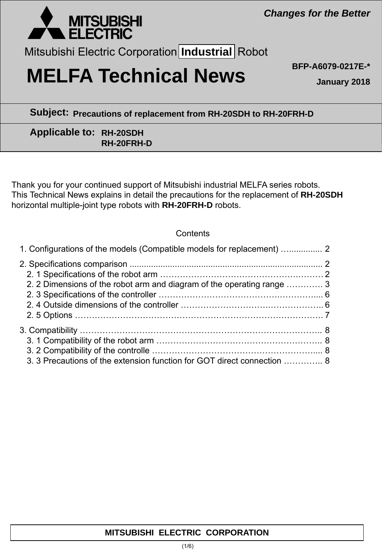

Mitsubishi Electric Corporation **Industrial** Robot

# **MELFA Technical News BFP-A6079-0217E-\***

**January 2018**

**Subject: Precautions of replacement from RH-20SDH to RH-20FRH-D**

## **Applicable to: RH-20SDH RH-20FRH-D**

Thank you for your continued support of Mitsubishi industrial MELFA series robots. This Technical News explains in detail the precautions for the replacement of **RH-20SDH** horizontal multiple-joint type robots with **RH-20FRH-D** robots.

## **Contents**

| 1. Configurations of the models (Compatible models for replacement)  2  |  |
|-------------------------------------------------------------------------|--|
|                                                                         |  |
|                                                                         |  |
| 2. 2 Dimensions of the robot arm and diagram of the operating range  3  |  |
|                                                                         |  |
|                                                                         |  |
|                                                                         |  |
|                                                                         |  |
|                                                                         |  |
|                                                                         |  |
| 3. 3 Precautions of the extension function for GOT direct connection  8 |  |

## **MITSUBISHI ELECTRIC CORPORATION**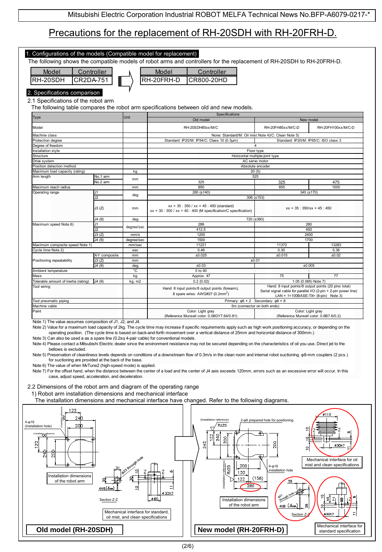# Precautions for the replacement of RH-20SDH with RH-20FRH-D.

| 2. Specifications comparison<br>2.1 Specifications of the robot arm<br>Unit<br>kg<br>No.1 arm<br>mm<br>No.2 arm<br>mm<br>deg | The following table compares the robot arm specifications between old and new models.<br>Specifications<br>Old model<br>RH-20SDH85xx/M/C<br>None: Standard/M: Oil mist Note 4)/C: Clean Note 5)<br>Standard: IP20/M: IP54/C: Class 10 (0.3µm)<br>4<br>Floor type<br>Horizontal multiple-joint type<br>AC servo motor<br>Absolute encoder<br>20(5)<br>525<br>325<br>850 | RH-20FH85xx/M/C-D<br>325                                                                                                                | New model<br>RH-20FH100xx/M/C-D<br>Standard: IP20/M: IP65/C: ISO class 3                                                                                                                                                                                                                                                                                                                                                                                                                                                                                                            |  |
|------------------------------------------------------------------------------------------------------------------------------|------------------------------------------------------------------------------------------------------------------------------------------------------------------------------------------------------------------------------------------------------------------------------------------------------------------------------------------------------------------------|-----------------------------------------------------------------------------------------------------------------------------------------|-------------------------------------------------------------------------------------------------------------------------------------------------------------------------------------------------------------------------------------------------------------------------------------------------------------------------------------------------------------------------------------------------------------------------------------------------------------------------------------------------------------------------------------------------------------------------------------|--|
|                                                                                                                              |                                                                                                                                                                                                                                                                                                                                                                        |                                                                                                                                         |                                                                                                                                                                                                                                                                                                                                                                                                                                                                                                                                                                                     |  |
|                                                                                                                              |                                                                                                                                                                                                                                                                                                                                                                        |                                                                                                                                         |                                                                                                                                                                                                                                                                                                                                                                                                                                                                                                                                                                                     |  |
|                                                                                                                              |                                                                                                                                                                                                                                                                                                                                                                        |                                                                                                                                         |                                                                                                                                                                                                                                                                                                                                                                                                                                                                                                                                                                                     |  |
|                                                                                                                              |                                                                                                                                                                                                                                                                                                                                                                        |                                                                                                                                         |                                                                                                                                                                                                                                                                                                                                                                                                                                                                                                                                                                                     |  |
|                                                                                                                              |                                                                                                                                                                                                                                                                                                                                                                        |                                                                                                                                         |                                                                                                                                                                                                                                                                                                                                                                                                                                                                                                                                                                                     |  |
|                                                                                                                              |                                                                                                                                                                                                                                                                                                                                                                        |                                                                                                                                         |                                                                                                                                                                                                                                                                                                                                                                                                                                                                                                                                                                                     |  |
|                                                                                                                              |                                                                                                                                                                                                                                                                                                                                                                        |                                                                                                                                         |                                                                                                                                                                                                                                                                                                                                                                                                                                                                                                                                                                                     |  |
|                                                                                                                              |                                                                                                                                                                                                                                                                                                                                                                        |                                                                                                                                         |                                                                                                                                                                                                                                                                                                                                                                                                                                                                                                                                                                                     |  |
|                                                                                                                              |                                                                                                                                                                                                                                                                                                                                                                        |                                                                                                                                         |                                                                                                                                                                                                                                                                                                                                                                                                                                                                                                                                                                                     |  |
|                                                                                                                              |                                                                                                                                                                                                                                                                                                                                                                        |                                                                                                                                         |                                                                                                                                                                                                                                                                                                                                                                                                                                                                                                                                                                                     |  |
|                                                                                                                              |                                                                                                                                                                                                                                                                                                                                                                        |                                                                                                                                         |                                                                                                                                                                                                                                                                                                                                                                                                                                                                                                                                                                                     |  |
|                                                                                                                              |                                                                                                                                                                                                                                                                                                                                                                        |                                                                                                                                         |                                                                                                                                                                                                                                                                                                                                                                                                                                                                                                                                                                                     |  |
|                                                                                                                              |                                                                                                                                                                                                                                                                                                                                                                        |                                                                                                                                         |                                                                                                                                                                                                                                                                                                                                                                                                                                                                                                                                                                                     |  |
|                                                                                                                              |                                                                                                                                                                                                                                                                                                                                                                        |                                                                                                                                         | 475                                                                                                                                                                                                                                                                                                                                                                                                                                                                                                                                                                                 |  |
|                                                                                                                              |                                                                                                                                                                                                                                                                                                                                                                        | 850                                                                                                                                     | 1000                                                                                                                                                                                                                                                                                                                                                                                                                                                                                                                                                                                |  |
|                                                                                                                              | 280 (±140)<br>306 (±153)                                                                                                                                                                                                                                                                                                                                               |                                                                                                                                         | 340 (±170)                                                                                                                                                                                                                                                                                                                                                                                                                                                                                                                                                                          |  |
| J3(Z)<br>mm<br>J4(0)                                                                                                         | $xx = 35 : 350 / xx = 45 : 450$ (standard)<br>$xx = 30$ : 300 / $xx = 40$ : 400 (M specification/C specification)                                                                                                                                                                                                                                                      |                                                                                                                                         | $xx = 35 : 350/xx = 45 : 450$                                                                                                                                                                                                                                                                                                                                                                                                                                                                                                                                                       |  |
|                                                                                                                              |                                                                                                                                                                                                                                                                                                                                                                        |                                                                                                                                         |                                                                                                                                                                                                                                                                                                                                                                                                                                                                                                                                                                                     |  |
| degree/sec                                                                                                                   | 280                                                                                                                                                                                                                                                                                                                                                                    |                                                                                                                                         |                                                                                                                                                                                                                                                                                                                                                                                                                                                                                                                                                                                     |  |
| J3(Z)                                                                                                                        |                                                                                                                                                                                                                                                                                                                                                                        | 450                                                                                                                                     |                                                                                                                                                                                                                                                                                                                                                                                                                                                                                                                                                                                     |  |
| J4(0)                                                                                                                        |                                                                                                                                                                                                                                                                                                                                                                        | 2400                                                                                                                                    |                                                                                                                                                                                                                                                                                                                                                                                                                                                                                                                                                                                     |  |
|                                                                                                                              |                                                                                                                                                                                                                                                                                                                                                                        |                                                                                                                                         | 13283                                                                                                                                                                                                                                                                                                                                                                                                                                                                                                                                                                               |  |
|                                                                                                                              |                                                                                                                                                                                                                                                                                                                                                                        |                                                                                                                                         | 0.36                                                                                                                                                                                                                                                                                                                                                                                                                                                                                                                                                                                |  |
|                                                                                                                              |                                                                                                                                                                                                                                                                                                                                                                        |                                                                                                                                         | ±0.02                                                                                                                                                                                                                                                                                                                                                                                                                                                                                                                                                                               |  |
| J3(Z)                                                                                                                        |                                                                                                                                                                                                                                                                                                                                                                        |                                                                                                                                         |                                                                                                                                                                                                                                                                                                                                                                                                                                                                                                                                                                                     |  |
| J4(0)                                                                                                                        |                                                                                                                                                                                                                                                                                                                                                                        |                                                                                                                                         | ±0.005                                                                                                                                                                                                                                                                                                                                                                                                                                                                                                                                                                              |  |
|                                                                                                                              |                                                                                                                                                                                                                                                                                                                                                                        |                                                                                                                                         |                                                                                                                                                                                                                                                                                                                                                                                                                                                                                                                                                                                     |  |
|                                                                                                                              |                                                                                                                                                                                                                                                                                                                                                                        |                                                                                                                                         | 77                                                                                                                                                                                                                                                                                                                                                                                                                                                                                                                                                                                  |  |
| J4(0)                                                                                                                        | 0.2(0.02)                                                                                                                                                                                                                                                                                                                                                              |                                                                                                                                         | 1.05 (0.065) Note 7)                                                                                                                                                                                                                                                                                                                                                                                                                                                                                                                                                                |  |
|                                                                                                                              | Hand: 8 input points/8 output points (forearm),<br>8 spare wires: AWG#27 (0.2mm <sup>2</sup> )                                                                                                                                                                                                                                                                         | Serial signal cable for parallel I/O (2-pin + 2-pin power line)                                                                         | Hand: 8 input points/8 output points (20 pins total)<br>LAN × 1<100BASE-TX> (8-pin) Note 3)                                                                                                                                                                                                                                                                                                                                                                                                                                                                                         |  |
|                                                                                                                              |                                                                                                                                                                                                                                                                                                                                                                        |                                                                                                                                         |                                                                                                                                                                                                                                                                                                                                                                                                                                                                                                                                                                                     |  |
|                                                                                                                              |                                                                                                                                                                                                                                                                                                                                                                        |                                                                                                                                         |                                                                                                                                                                                                                                                                                                                                                                                                                                                                                                                                                                                     |  |
| Color: Light gray<br>Color: Light gray<br>(Reference Munsell color: 0.6B7.6/0.2)                                             |                                                                                                                                                                                                                                                                                                                                                                        |                                                                                                                                         |                                                                                                                                                                                                                                                                                                                                                                                                                                                                                                                                                                                     |  |
|                                                                                                                              | deg<br>mm/s<br>degree/sec<br>mm/sec<br>sec<br>X-Y composite<br>mm<br>mm<br>deg<br>°C<br>kg<br>kg, m2<br>Note 1) The value assumes composition of J1, J2, and J4.                                                                                                                                                                                                       | 288<br>412.5<br>1200<br>1500<br>11221<br>0.46<br>±0.025<br>±0.03<br>0 to 40<br>Approx. 47<br>(Reference Munsell color: 0.08GY7.64/0.81) | 720 (±360)<br>1700<br>11372<br>0.30<br>±0.015<br>±0.01<br>75<br>Primary: $\varphi 6 \times 2$ Secondary: $\varphi 6 \times 8$<br>5m (connector on both ends)<br>Note 2) Value for a maximum load capacity of 2kg. The cycle time may increase if specific requirements apply such as high work positioning accuracy, or depending on the<br>operating position. (The cycle time is based on back-and-forth movement over a vertical distance of 25mm and horizontal distance of 300mm.)<br>Note 3) Can also be used a as a spare line (0.2sq 4-pair cable) for conventional models. |  |

4) Please contact a Mitsubishi Electric dealer since the environment resistance may not be secured depending on the characteristics of oil you use. Direct jet to the bellows is excluded.

Note 5) Preservation of cleanliness levels depends on conditions of a downstream flow of 0.3m/s in the clean room and internal robot suctioning. φ8-mm couplers (2 pcs.) for suctioning are provided at the back of the base.

Note 6) The value of when MvTune2 (high-speed mode) is applied.

Note 7) For the offset hand, when the distance between the center of a load and the center of J4 axis exceeds 120mm, errors such as an excessive error will occur. In this case, adjust speed, acceleration, and deceleration.

#### 2.2 Dimensions of the robot arm and diagram of the operating range

1) Robot arm installation dimensions and mechanical interface

The installation dimensions and mechanical interface have changed. Refer to the following diagrams.

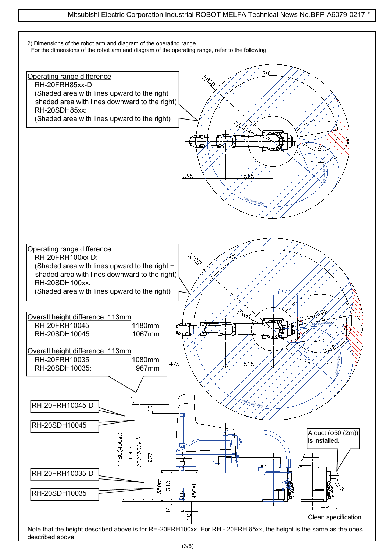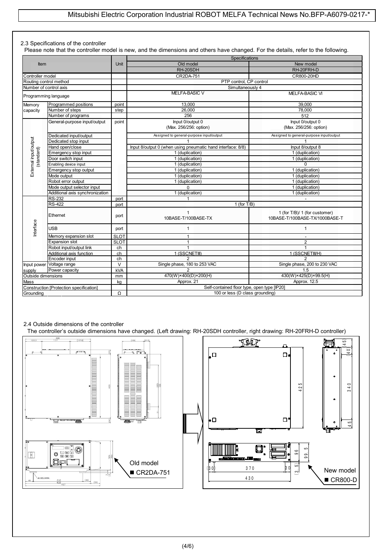#### 2.3 Specifications of the controller

Please note that the controller model is new, and the dimensions and others have changed. For the details, refer to the following.

| <b>Item</b>                                                             |                                         |                         | Specifications                                              |                                                                 |  |  |  |
|-------------------------------------------------------------------------|-----------------------------------------|-------------------------|-------------------------------------------------------------|-----------------------------------------------------------------|--|--|--|
|                                                                         |                                         | Unit                    | Old model                                                   | New model                                                       |  |  |  |
|                                                                         |                                         |                         | RH-20SDH                                                    | RH-20FRH-D                                                      |  |  |  |
| Controller model                                                        |                                         |                         | CR2DA-751                                                   | CR800-20HD                                                      |  |  |  |
| Routing control method                                                  |                                         |                         | PTP control. CP control                                     |                                                                 |  |  |  |
| Number of control axis                                                  |                                         |                         | Simultaneously 4                                            |                                                                 |  |  |  |
| Programming language                                                    |                                         |                         | MELFA-BASIC V                                               | <b>MELFA-BASIC VI</b>                                           |  |  |  |
| Programmed positions<br>Memory                                          |                                         | point                   | 13,000                                                      | 39,000                                                          |  |  |  |
| capacity                                                                | Number of steps                         | step                    | 26,000                                                      | 78,000                                                          |  |  |  |
|                                                                         | Number of programs                      |                         | 256                                                         | 512                                                             |  |  |  |
|                                                                         | General-purpose input/output            | point                   | Input 0/output 0                                            | Input 0/output 0                                                |  |  |  |
|                                                                         |                                         |                         | (Max. 256/256: option)                                      | (Max. 256/256: option)                                          |  |  |  |
|                                                                         |                                         |                         |                                                             |                                                                 |  |  |  |
|                                                                         | Dedicated input/output                  |                         | Assigned to general-purpose input/output                    | Assigned to general-purpose input/output                        |  |  |  |
|                                                                         | Dedicated stop input                    |                         |                                                             |                                                                 |  |  |  |
|                                                                         | Hand open/close                         |                         | Input 8/output 0 (when using pneumatic hand interface: 8/8) | Input 8/output 8                                                |  |  |  |
| standard)                                                               | Emergency stop input                    |                         | 1 (duplication)                                             | 1 (duplication)                                                 |  |  |  |
|                                                                         | Door switch input                       |                         | 1 (duplication)                                             | 1 (duplication)                                                 |  |  |  |
| External input/output<br>Enabling device input<br>Emergency stop output |                                         |                         | 1 (duplication)                                             | 0                                                               |  |  |  |
|                                                                         |                                         |                         | 1 (duplication)                                             | 1 (duplication)                                                 |  |  |  |
|                                                                         | Mode output                             |                         | 1 (duplication)                                             | 1 (duplication)                                                 |  |  |  |
| Robot error output                                                      |                                         |                         | 1 (duplication)                                             | 1 (duplication)                                                 |  |  |  |
|                                                                         | Mode output selector input              |                         | 0                                                           | 1 (duplication)                                                 |  |  |  |
|                                                                         | Additional axis synchronization         |                         | 1 (duplication)                                             | 1 (duplication)                                                 |  |  |  |
|                                                                         | <b>RS-232</b>                           | port                    |                                                             |                                                                 |  |  |  |
|                                                                         | <b>RS-422</b>                           | port                    | 1 (for $T/B$ )                                              |                                                                 |  |  |  |
| Ethernet                                                                |                                         | port                    | 1<br>10BASE-T/100BASE-TX                                    | 1 (for T/B)/ 1 (for customer)<br>10BASE-T/100BASE-TX/1000BASE-T |  |  |  |
| nterface                                                                | <b>USB</b>                              | port                    | $\mathbf{1}$                                                | 1                                                               |  |  |  |
|                                                                         | Memory expansion slot                   | <b>SLOT</b>             | $\mathbf{1}$                                                |                                                                 |  |  |  |
|                                                                         | Expansion slot                          | <b>SLOT</b>             | $\overline{1}$                                              | $\overline{2}$                                                  |  |  |  |
|                                                                         | Robot input/output link                 | ch                      | $\overline{1}$                                              | $\overline{1}$                                                  |  |  |  |
|                                                                         | Additional axis function                | ch                      | 1 (SSCNETIII)                                               | 1 (SSCNETIIVH)                                                  |  |  |  |
|                                                                         | Encoder input                           | ch                      | 2                                                           | 2                                                               |  |  |  |
|                                                                         | Input power Voltage range               | $\overline{\mathsf{v}}$ | Single phase, 180 to 253 VAC                                | Single phase, 200 to 230 VAC                                    |  |  |  |
| supply                                                                  | Power capacity                          | kVA                     | $\mathfrak{p}$                                              | 1.5                                                             |  |  |  |
| Outside dimensions                                                      |                                         | mm                      | 470(W)×400(D)×200(H)                                        | 430(W)×425(D)×99.5(H)                                           |  |  |  |
| <b>Mass</b>                                                             |                                         | kg                      | Approx. 21                                                  | Approx. 12.5                                                    |  |  |  |
|                                                                         | Construction [Protection specification] |                         | Self-contained floor type, open type [IP20]                 |                                                                 |  |  |  |
| Groundina                                                               |                                         |                         | 100 or less (D class grounding)                             |                                                                 |  |  |  |

## 2.4 Outside dimensions of the controller

The controller's outside dimensions have changed. (Left drawing: RH-20SDH controller, right drawing: RH-20FRH-D controller)

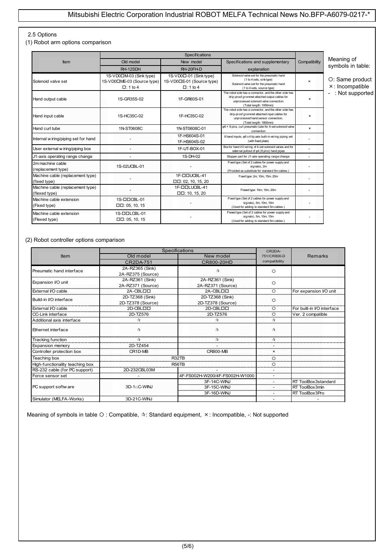### 2.5 Options

(1) Robot arm options comparison

| Item                                              | Old model                                                                | New model                                                              | Specifications and supplementary                                                                                                                                            | Compatibility  | Meaning of                                 |
|---------------------------------------------------|--------------------------------------------------------------------------|------------------------------------------------------------------------|-----------------------------------------------------------------------------------------------------------------------------------------------------------------------------|----------------|--------------------------------------------|
|                                                   | RH-12SDH                                                                 | RH-20FH-D                                                              | explanation                                                                                                                                                                 |                | symbols in table:                          |
| Solenoid valve set                                | 1S-VD0□M-03 (Sink type)<br>1S-VD0□ME-03 (Source type)<br>$\Box$ : 1 to 4 | 1S-VD0口-01 (Sink type)<br>1S-VD0□E-01 (Source type)<br>$\Box$ : 1 to 4 | Solenoid valve set for the pneumatic hand<br>(1 to 4 sets, sinktype)<br>Solenoid valve set for the pneumatic hand<br>(1 to 4 sets, source type)                             | $\mathbf{x}$   | O: Same product<br>$\times$ : Incompatible |
| Hand output cable                                 | 1S-GR35S-02                                                              | 1F-GR60S-01                                                            | The robot side has a connector, and the other side has<br>drip-proof grommet attached output cables for<br>unprocessed solenoid valve connection.<br>(Total length: 1050mm) | $\times$       | - : Not supported                          |
| Hand input cable                                  | 1S-HC35C-02                                                              | 1F-HC35C-02                                                            | The robot side has a connector, and the other side has<br>drip-proof grommet attached input cables for<br>unprocessed hand sensor connection.<br>(Total length: 1800mm)     | $\pmb{\times}$ |                                            |
| Hand curl tube                                    | 1N-ST0608C                                                               | 1N-ST0608C-01                                                          | $\varphi$ 6 × 8 pics, curl pneumatic tube for 4-set solenoid valve<br>connection                                                                                            | ×              |                                            |
| Internal w iring/piping set for hand              |                                                                          | 1F-HS604S-01<br>1F-HS604S-02                                           | 8 hand inputs, $\varphi$ 6 x 4 tip axis built-in wiring piping set<br>(with fixed plate)                                                                                    |                |                                            |
| User external w iring/piping box                  |                                                                          | 1F-UT-BOX-01                                                           | Box for hand I/O wiring of 4-set solenoid valves and for<br>external pullout of $\varphi$ 4 (8 pics) hand pipes                                                             |                |                                            |
| J1-axis operating range change                    |                                                                          | 1S-DH-02                                                               | Stopper part for J1-axis operating range change                                                                                                                             |                |                                            |
| 2m machine cable<br>(replacement type)            | 1S-02UCBL-01                                                             |                                                                        | Fixed type (Set of 2 cables for power supply and<br>signals), 2m<br>(Provided as substitute for standard 5m cables.)                                                        |                |                                            |
| Machine cable (replacement type)<br>(fixed type)  |                                                                          | 1F-DOUCBL-41<br>$\Box$ $\Box$ : 02, 10, 15, 20                         | Fixed type: 2m, 10m, 15m. 20m                                                                                                                                               |                |                                            |
| Machine cable (replacement type)<br>(flexed type) |                                                                          | 1F-ODLUCBL-41<br>$\Box$ $\Box$ : 10, 15, 20                            | Flexed type: 10m, 15m, 20m                                                                                                                                                  |                |                                            |
| Machine cable extension<br>(Fixed type)           | 1S-CICBL-01<br>$\Box$ $\Box$ : 05, 10, 15                                |                                                                        | Fixed type (Set of 2 cables for power supply and<br>signals), 5m, 10m, 15m<br>(Used for adding to standard 5m cables.)                                                      |                |                                            |
| Machine cable extension<br>(Flexed type)          | 1S-OOLCBL-01<br>$\Box$ $\Box$ : 05, 10, 15                               |                                                                        | Flexed type (Set of 2 cables for power supply and<br>signals), 5m, 10m, 15m<br>(Used for adding to standard 5m cables.)                                                     |                |                                            |

#### (2) Robot controller options comparison

|                                 | Specifications       | CR <sub>2</sub> DA-            |                          |                            |
|---------------------------------|----------------------|--------------------------------|--------------------------|----------------------------|
| <b>Item</b>                     | Old model            | New model                      | 751/CR800-D              | <b>Remarks</b>             |
|                                 | CR2DA-751            | CR800-20HD                     | compatibility            |                            |
| Pneumatic hand interface        | 2A-RZ365 (Sink)      | $\tau_{\rm eff}^{\rm A}$       | ∩                        |                            |
|                                 | 2A-RZ375 (Source)    |                                |                          |                            |
| Expansion I/O unit              | 2A-RZ361 (Sink)      | 2A-RZ361 (Sink)                | $\Omega$                 |                            |
|                                 | 2A-RZ371 (Source)    | 2A-RZ371 (Source)              |                          |                            |
| External I/O cable              | 2A-CBLOO             | 2A-CBLOO                       | $\circ$                  | For expansion I/O unit     |
| Build-in I/O interface          | 2D-TZ368 (Sink)      | 2D-TZ368 (Sink)                | $\circ$                  |                            |
|                                 | 2D-TZ378 (Source)    | 2D-TZ378 (Source)              |                          |                            |
| External VO cable               | 2D-CBLDD             | 2D-CBLOO                       |                          | For built-in I/O interface |
| CC-Link interface               | 2D-TZ576<br>2D-TZ576 |                                | $\circ$                  | Ver. 2 compatible          |
| Additional axis interface       | ☆                    | ☆                              | $\tau_{\rm eff}^{\rm A}$ |                            |
| Ethernet interface              | $\vec{r}$            | $\tau_{\rm ff}$                | $\tau_{\rm eff}^{\rm A}$ |                            |
| <b>Tracking function</b>        | ☆                    | ☆                              | ☆                        |                            |
| Expansion memory                | 2D-TZ454             |                                |                          |                            |
| Controller protection box       | CR1D-MB              | <b>CR800-MB</b>                | $\mathbf{x}$             |                            |
| Teaching box                    |                      | R32TB                          | $\circ$                  |                            |
| High-functionality teaching box |                      | R <sub>56</sub> T <sub>B</sub> | $\circ$                  |                            |
| RS-232 cable (for PC support)   | 2D-232CBL03M         |                                |                          |                            |
| Force sensor set                |                      | 4F-FS002H-W200/4F-FS002H-W1000 |                          |                            |
|                                 |                      | 3F-14C-WINJ                    |                          | RT ToolBox3standard        |
| PC support softw are            | $3D-1\neg C-WINJ$    | 3F-15C-WINJ                    |                          | RT ToolBox3min             |
|                                 |                      | 3F-16D-WINJ                    |                          | RT ToolBox3Pro             |
| Simulator (MELFA-Works)         | 3D-21C-WINJ          |                                |                          |                            |

Meaning of symbols in table O: Compatible,  $\dot{x}$ : Standard equipment, x: Incompatible, -: Not supported